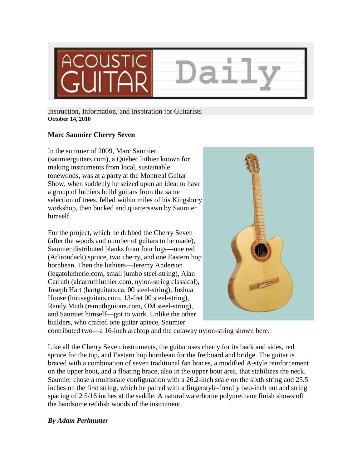

Instruction, Information, and Inspiration for Guitarists **October 14, 2010** 

## **Marc Saumier Cherry Seven**

In the summer of 2009, Marc Saumier (saumierguitars.com), a Quebec luthier known for making instruments from local, sustainable tonewoods, was at a party at the Montreal Guitar Show, when suddenly he seized upon an idea: to have a group of luthiers build guitars from the same selection of trees, felled within miles of his Kingsbury workshop, then bucked and quartersawn by Saumier himself.

For the project, which he dubbed the Cherry Seven (after the woods and number of guitars to be made), Saumier distributed blanks from four logs—one red (Adirondack) spruce, two cherry, and one Eastern hop hornbean. Then the luthiers—Jeremy Anderson (legatolutherie.com, small jumbo steel-string), Alan Carruth (alcarruthluthier.com, nylon-string classical), Joseph Hart (hartguitars.ca, 00 steel-string), Joshua House (houseguitars.com, 13-fret 00 steel-string), Randy Muth (rsmuthguitars.com, OM steel-string), and Saumier himself—got to work. Unlike the other builders, who crafted one guitar apiece, Saumier



contributed two—a 16-inch archtop and the cutaway nylon-string shown here.

Like all the Cherry Seven instruments, the guitar uses cherry for its back and sides, red spruce for the top, and Eastern hop hornbean for the fretboard and bridge. The guitar is braced with a combination of seven traditional fan braces, a modified A-style reinforcement on the upper bout, and a floating brace, also in the upper bout area, that stabilizes the neck. Saumier chose a multiscale configuration with a 26.2-inch scale on the sixth string and 25.5 inches on the first string, which he paired with a fingerstyle-frendly two-inch nut and string spacing of 2 5/16 inches at the saddle. A natural waterborne polyurethane finish shows off the handsome reddish woods of the instrument.

## *By Adam Perlmutter*